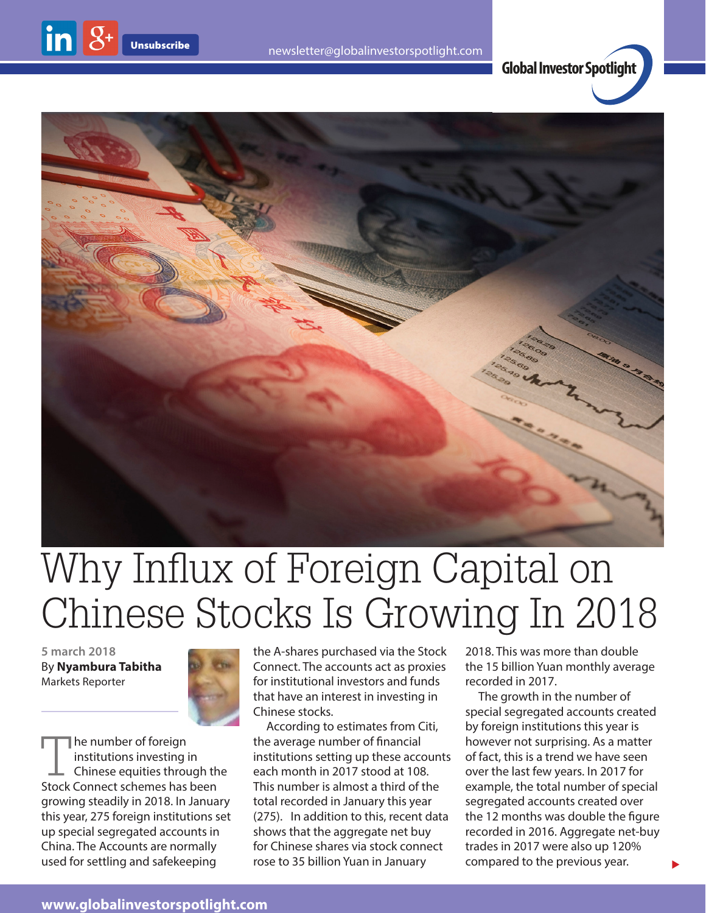





## Why Influx of Foreign Capital on Chinese Stocks Is Growing In 2018

**5 march 2018** By **Nyambura Tabitha** Markets Reporter

inl



The number of foreign institutions investing in Chinese equities through the Stock Connect schemes has been growing steadily in 2018. In January this year, 275 foreign institutions set up special segregated accounts in China. The Accounts are normally used for settling and safekeeping

the A-shares purchased via the Stock Connect. The accounts act as proxies for institutional investors and funds that have an interest in investing in Chinese stocks.

According to estimates from Citi, the average number of financial institutions setting up these accounts each month in 2017 stood at 108. This number is almost a third of the total recorded in January this year (275). In addition to this, recent data shows that the aggregate net buy for Chinese shares via stock connect rose to 35 billion Yuan in January

2018. This was more than double the 15 billion Yuan monthly average recorded in 2017.

The growth in the number of special segregated accounts created by foreign institutions this year is however not surprising. As a matter of fact, this is a trend we have seen over the last few years. In 2017 for example, the total number of special segregated accounts created over the 12 months was double the figure recorded in 2016. Aggregate net-buy trades in 2017 were also up 120% compared to the previous year.

 $\blacktriangleright$